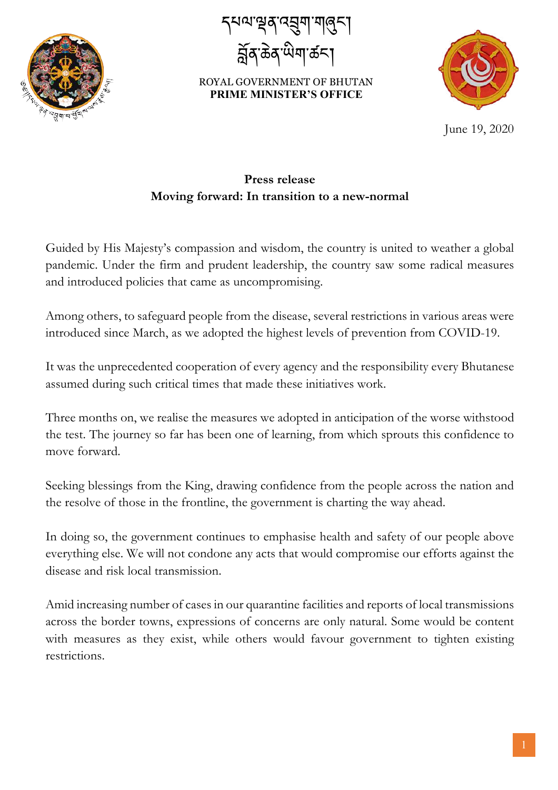

དཔལ་ལན་འབག་གཞང་། <sup>੶</sup>ಹੋਕ<sup>੶</sup>ਘੋਧਾ ಹੱ≂



June 19, 2020

## **Press release Moving forward: In transition to a new-normal**

Guided by His Majesty's compassion and wisdom, the country is united to weather a global pandemic. Under the firm and prudent leadership, the country saw some radical measures and introduced policies that came as uncompromising.

Among others, to safeguard people from the disease, several restrictions in various areas were introduced since March, as we adopted the highest levels of prevention from COVID-19.

It was the unprecedented cooperation of every agency and the responsibility every Bhutanese assumed during such critical times that made these initiatives work.

Three months on, we realise the measures we adopted in anticipation of the worse withstood the test. The journey so far has been one of learning, from which sprouts this confidence to move forward.

Seeking blessings from the King, drawing confidence from the people across the nation and the resolve of those in the frontline, the government is charting the way ahead.

In doing so, the government continues to emphasise health and safety of our people above everything else. We will not condone any acts that would compromise our efforts against the disease and risk local transmission.

Amid increasing number of cases in our quarantine facilities and reports of local transmissions across the border towns, expressions of concerns are only natural. Some would be content with measures as they exist, while others would favour government to tighten existing restrictions.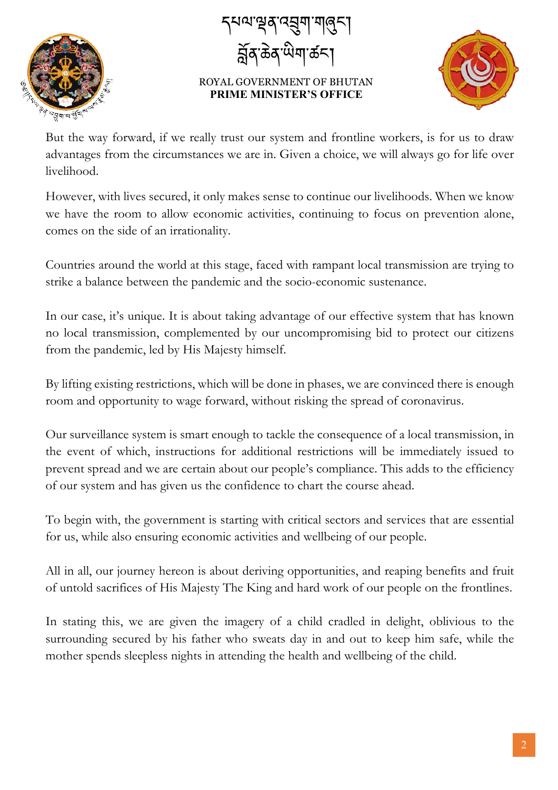

དཔལ་ལན་འབག་གཞང་། 'ক্টব'ঁঐমা'ৰ্ক্ৰ<'



But the way forward, if we really trust our system and frontline workers, is for us to draw advantages from the circumstances we are in. Given a choice, we will always go for life over livelihood.

However, with lives secured, it only makes sense to continue our livelihoods. When we know we have the room to allow economic activities, continuing to focus on prevention alone, comes on the side of an irrationality.

Countries around the world at this stage, faced with rampant local transmission are trying to strike a balance between the pandemic and the socio-economic sustenance.

In our case, it's unique. It is about taking advantage of our effective system that has known no local transmission, complemented by our uncompromising bid to protect our citizens from the pandemic, led by His Majesty himself.

By lifting existing restrictions, which will be done in phases, we are convinced there is enough room and opportunity to wage forward, without risking the spread of coronavirus.

Our surveillance system is smart enough to tackle the consequence of a local transmission, in the event of which, instructions for additional restrictions will be immediately issued to prevent spread and we are certain about our people's compliance. This adds to the efficiency of our system and has given us the confidence to chart the course ahead.

To begin with, the government is starting with critical sectors and services that are essential for us, while also ensuring economic activities and wellbeing of our people.

All in all, our journey hereon is about deriving opportunities, and reaping benefits and fruit of untold sacrifices of His Majesty The King and hard work of our people on the frontlines.

In stating this, we are given the imagery of a child cradled in delight, oblivious to the surrounding secured by his father who sweats day in and out to keep him safe, while the mother spends sleepless nights in attending the health and wellbeing of the child.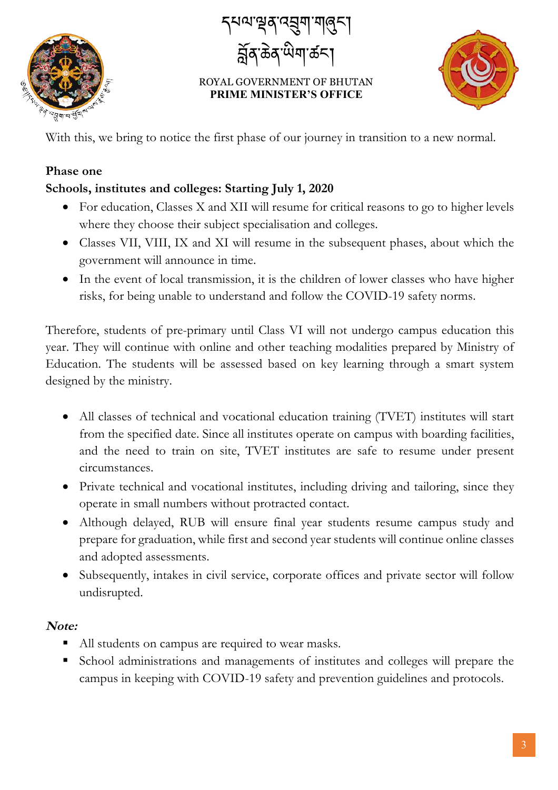

ग्भूव दच्चण गलुन्। ৰ্হ্নৰ ক্ৰম অমাৰ্কন



With this, we bring to notice the first phase of our journey in transition to a new normal.

#### **Phase one**

### **Schools, institutes and colleges: Starting July 1, 2020**

- For education, Classes X and XII will resume for critical reasons to go to higher levels where they choose their subject specialisation and colleges.
- Classes VII, VIII, IX and XI will resume in the subsequent phases, about which the government will announce in time.
- In the event of local transmission, it is the children of lower classes who have higher risks, for being unable to understand and follow the COVID-19 safety norms.

Therefore, students of pre-primary until Class VI will not undergo campus education this year. They will continue with online and other teaching modalities prepared by Ministry of Education. The students will be assessed based on key learning through a smart system designed by the ministry.

- All classes of technical and vocational education training (TVET) institutes will start from the specified date. Since all institutes operate on campus with boarding facilities, and the need to train on site, TVET institutes are safe to resume under present circumstances.
- Private technical and vocational institutes, including driving and tailoring, since they operate in small numbers without protracted contact.
- Although delayed, RUB will ensure final year students resume campus study and prepare for graduation, while first and second year students will continue online classes and adopted assessments.
- Subsequently, intakes in civil service, corporate offices and private sector will follow undisrupted.

#### **Note:**

- All students on campus are required to wear masks.
- § School administrations and managements of institutes and colleges will prepare the campus in keeping with COVID-19 safety and prevention guidelines and protocols.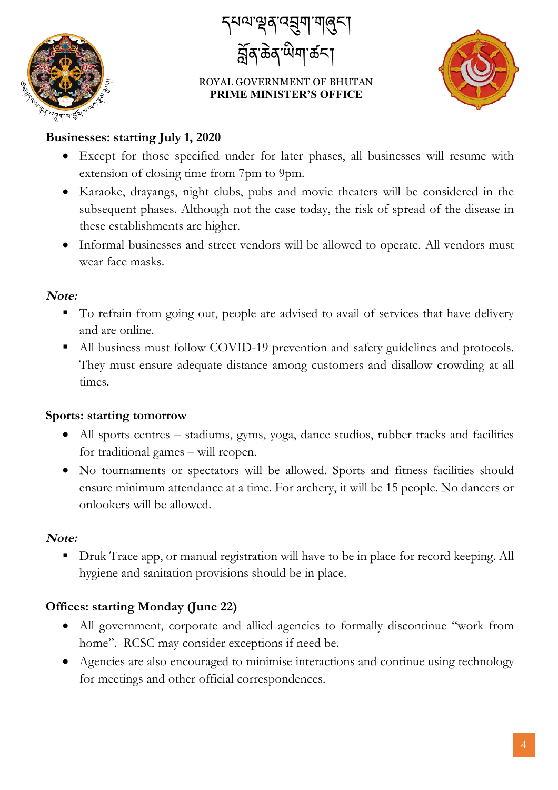

।অ'শ্বৰ্ব্ব্মশ্মান্ত্ৰ্ব্ ৰ্হ্নৰ ক্ৰম্মী ক্ৰম



#### **Businesses: starting July 1, 2020**

- Except for those specified under for later phases, all businesses will resume with extension of closing time from 7pm to 9pm.
- Karaoke, drayangs, night clubs, pubs and movie theaters will be considered in the subsequent phases. Although not the case today, the risk of spread of the disease in these establishments are higher.
- Informal businesses and street vendors will be allowed to operate. All vendors must wear face masks.

#### **Note:**

- To refrain from going out, people are advised to avail of services that have delivery and are online.
- All business must follow COVID-19 prevention and safety guidelines and protocols. They must ensure adequate distance among customers and disallow crowding at all times.

#### **Sports: starting tomorrow**

- All sports centres stadiums, gyms, yoga, dance studios, rubber tracks and facilities for traditional games – will reopen.
- No tournaments or spectators will be allowed. Sports and fitness facilities should ensure minimum attendance at a time. For archery, it will be 15 people. No dancers or onlookers will be allowed.

#### **Note:**

■ Druk Trace app, or manual registration will have to be in place for record keeping. All hygiene and sanitation provisions should be in place.

#### **Offices: starting Monday (June 22)**

- All government, corporate and allied agencies to formally discontinue "work from home". RCSC may consider exceptions if need be.
- Agencies are also encouraged to minimise interactions and continue using technology for meetings and other official correspondences.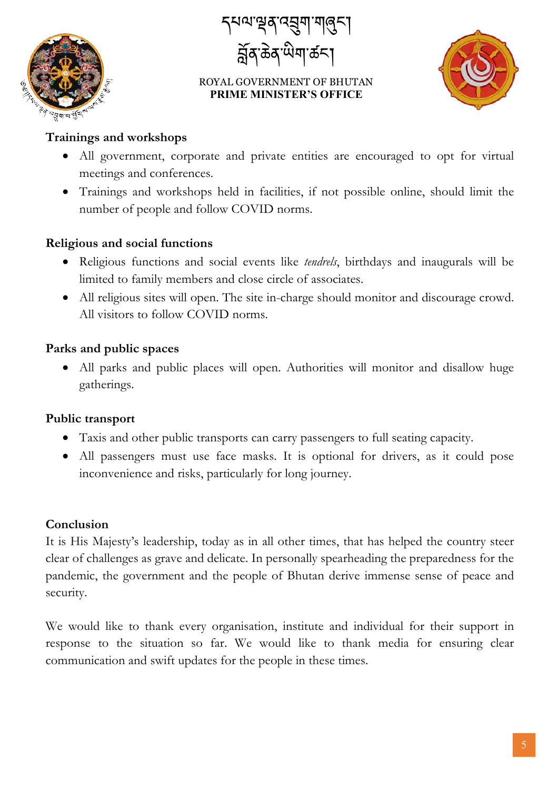

དཔལ་ལན་འབག་གཞང་། ৰ্ন্নৰ ক্ৰম্মী ক্ৰম



#### **Trainings and workshops**

- All government, corporate and private entities are encouraged to opt for virtual meetings and conferences.
- Trainings and workshops held in facilities, if not possible online, should limit the number of people and follow COVID norms.

#### **Religious and social functions**

- Religious functions and social events like *tendrels*, birthdays and inaugurals will be limited to family members and close circle of associates.
- All religious sites will open. The site in-charge should monitor and discourage crowd. All visitors to follow COVID norms.

### **Parks and public spaces**

• All parks and public places will open. Authorities will monitor and disallow huge gatherings.

### **Public transport**

- Taxis and other public transports can carry passengers to full seating capacity.
- All passengers must use face masks. It is optional for drivers, as it could pose inconvenience and risks, particularly for long journey.

#### **Conclusion**

It is His Majesty's leadership, today as in all other times, that has helped the country steer clear of challenges as grave and delicate. In personally spearheading the preparedness for the pandemic, the government and the people of Bhutan derive immense sense of peace and security.

We would like to thank every organisation, institute and individual for their support in response to the situation so far. We would like to thank media for ensuring clear communication and swift updates for the people in these times.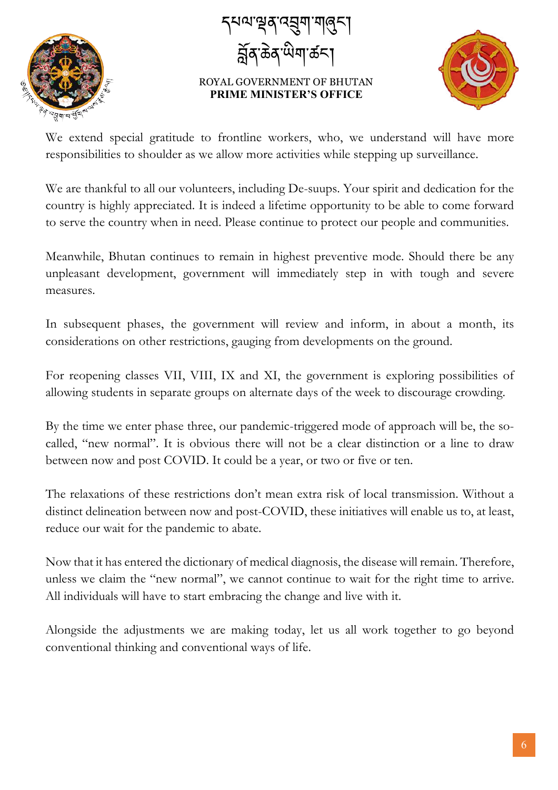

དཔལ་ལན་འབག་གཞང་། ৰ্ন্নৰ ক্ৰম অমাৰ্কনা



We extend special gratitude to frontline workers, who, we understand will have more responsibilities to shoulder as we allow more activities while stepping up surveillance.

We are thankful to all our volunteers, including De-suups. Your spirit and dedication for the country is highly appreciated. It is indeed a lifetime opportunity to be able to come forward to serve the country when in need. Please continue to protect our people and communities.

Meanwhile, Bhutan continues to remain in highest preventive mode. Should there be any unpleasant development, government will immediately step in with tough and severe measures.

In subsequent phases, the government will review and inform, in about a month, its considerations on other restrictions, gauging from developments on the ground.

For reopening classes VII, VIII, IX and XI, the government is exploring possibilities of allowing students in separate groups on alternate days of the week to discourage crowding.

By the time we enter phase three, our pandemic-triggered mode of approach will be, the socalled, "new normal". It is obvious there will not be a clear distinction or a line to draw between now and post COVID. It could be a year, or two or five or ten.

The relaxations of these restrictions don't mean extra risk of local transmission. Without a distinct delineation between now and post-COVID, these initiatives will enable us to, at least, reduce our wait for the pandemic to abate.

Now that it has entered the dictionary of medical diagnosis, the disease will remain. Therefore, unless we claim the "new normal", we cannot continue to wait for the right time to arrive. All individuals will have to start embracing the change and live with it.

Alongside the adjustments we are making today, let us all work together to go beyond conventional thinking and conventional ways of life.